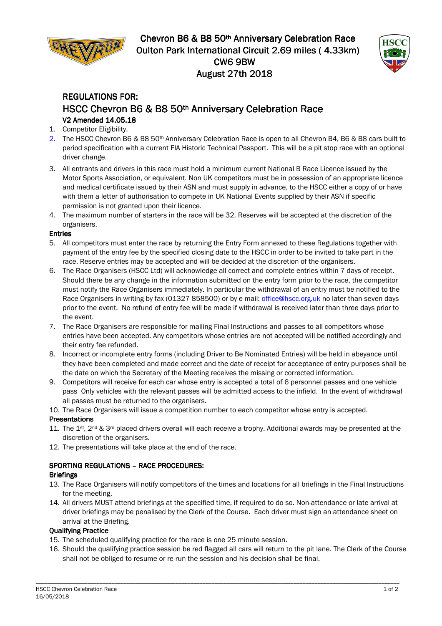

Chevron B6 & B8 50<sup>th</sup> Anniversary Celebration Race Oulton Park International Circuit 2.69 miles ( 4.33km) **CW6 9BW August 27th 2018** 



# REGULATIONS FOR: FOR: HSCC Chevron B6 & B8 50<sup>th</sup> Anniversary Celebration Race V2 Amended 14.05.18

- 1. Competitor Eligibility.
- 2. The HSCC Chevron B6 & B8 50th Anniversary Celebration Race is open to all Chevron B4, B6 & B8 cars built to period specification with a current FIA Historic Technical Passport. This will be a pit stop race with an optional driver change.
- 3. All entrants and drivers in this race must hold a minimum current National B Race Licence issued by the Motor Sports Association, or equivalent. Non UK competitors must be in possession of an appropriate licence and medical certificate issued by their ASN and must supply in advance, to the HSCC either a copy of or have with them a letter of authorisation to compete in UK National Events supplied by their ASN if specific permission is not granted upon their licence.
- 4. The maximum number of starters in the race will be 32. Reserves will be accepted at the discretion of the organisers.

#### Entries

- 5. All competitors must enter the race by returning the Entry Form annexed to these Regulations together with payment of the entry fee by the specified closing date to the HSCC in order to be invited to take part in the race. Reserve entries may be accepted and will be decided at the discretion of the organisers.
- 6. The Race Organisers (HSCC Ltd) will acknowledge all correct and complete entries within 7 days of receipt. Should there be any change in the information submitted on the entry form prior to the race, the competitor must notify the Race Organisers immediately. In particular the withdrawal of an entry must be notified to the Race Organisers in writing by fax (01327 858500) or by e-mail: office@hscc.org.uk no later than seven days prior to the event. No refund of entry fee will be made if withdrawal is received later than three days prior to the event.
- 7. The Race Organisers are responsible for mailing Final Instructions and passes to all competitors whose entries have been accepted. Any competitors whose entries are not accepted will be notified accordingly and their entry fee refunded.
- 8. Incorrect or incomplete entry forms (including Driver to Be Nominated Entries) will be held in abeyance until they have been completed and made correct and the date of receipt for acceptance of entry purposes shall be the date on which the Secretary of the Meeting receives the missing or corrected information.
- 9. Competitors will receive for each car whose entry is accepted a total of 6 personnel passes and one vehicle pass Only vehicles with the relevant passes will be admitted access to the infield. In the event of withdrawal all passes must be returned to the organisers.
- 10. The Race Organisers will issue a competition number to each competitor whose entry is accepted.

#### **Presentations**

- 11. The 1<sup>st</sup>, 2<sup>nd</sup> & 3<sup>rd</sup> placed drivers overall will each receive a trophy. Additional awards may be presented at the discretion of the organisers.
- 12. The presentations will take place at the end of the race.

#### SPORTING REGULATIONS - RACE PROCEDURES: **Briefings**

- 
- 13. The Race Organisers will notify competitors of the times and locations for all briefings in the Final Instructions for the meeting.
- 14. All drivers MUST attend briefings at the specified time, if required to do so. Non-attendance or late arrival at driver briefings may be penalised by the Clerk of the Course. Each driver must sign an attendance sheet on arrival at the Briefing.

#### Qualifying Practice

- 15. The scheduled qualifying practice for the race is one 25 minute session.
- 16. Should the qualifying practice session be red flagged all cars will return to the pit lane. The Clerk of the Course shall not be obliged to resume or re-run the session and his decision shall be final.

\_\_\_\_\_\_\_\_\_\_\_\_\_\_\_\_\_\_\_\_\_\_\_\_\_\_\_\_\_\_\_\_\_\_\_\_\_\_\_\_\_\_\_\_\_\_\_\_\_\_\_\_\_\_\_\_\_\_\_\_\_\_\_\_\_\_\_\_\_\_\_\_\_\_\_\_\_\_\_\_\_\_\_\_\_\_\_\_\_\_\_\_\_\_\_\_\_\_\_\_\_\_\_\_\_\_\_\_\_\_\_\_\_\_\_\_\_\_\_\_